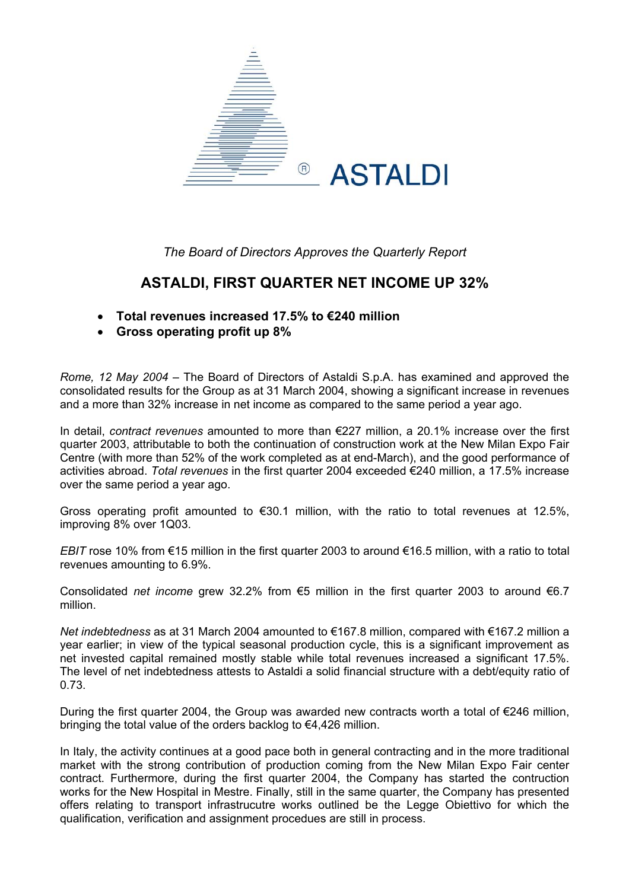

*The Board of Directors Approves the Quarterly Report* 

## **ASTALDI, FIRST QUARTER NET INCOME UP 32%**

- **Total revenues increased 17.5% to €240 million**
- **Gross operating profit up 8%**

*Rome, 12 May 2004* – The Board of Directors of Astaldi S.p.A. has examined and approved the consolidated results for the Group as at 31 March 2004, showing a significant increase in revenues and a more than 32% increase in net income as compared to the same period a year ago.

In detail, *contract revenues* amounted to more than €227 million, a 20.1% increase over the first quarter 2003, attributable to both the continuation of construction work at the New Milan Expo Fair Centre (with more than 52% of the work completed as at end-March), and the good performance of activities abroad. *Total revenues* in the first quarter 2004 exceeded €240 million, a 17.5% increase over the same period a year ago.

Gross operating profit amounted to €30.1 million, with the ratio to total revenues at 12.5%, improving 8% over 1Q03.

*EBIT* rose 10% from €15 million in the first quarter 2003 to around €16.5 million, with a ratio to total revenues amounting to 6.9%.

Consolidated *net income* grew 32.2% from €5 million in the first quarter 2003 to around €6.7 million.

*Net indebtedness* as at 31 March 2004 amounted to €167.8 million, compared with €167.2 million a year earlier; in view of the typical seasonal production cycle, this is a significant improvement as net invested capital remained mostly stable while total revenues increased a significant 17.5%. The level of net indebtedness attests to Astaldi a solid financial structure with a debt/equity ratio of 0.73.

During the first quarter 2004, the Group was awarded new contracts worth a total of  $\epsilon$ 246 million, bringing the total value of the orders backlog to €4,426 million.

In Italy, the activity continues at a good pace both in general contracting and in the more traditional market with the strong contribution of production coming from the New Milan Expo Fair center contract. Furthermore, during the first quarter 2004, the Company has started the contruction works for the New Hospital in Mestre. Finally, still in the same quarter, the Company has presented offers relating to transport infrastrucutre works outlined be the Legge Obiettivo for which the qualification, verification and assignment procedues are still in process.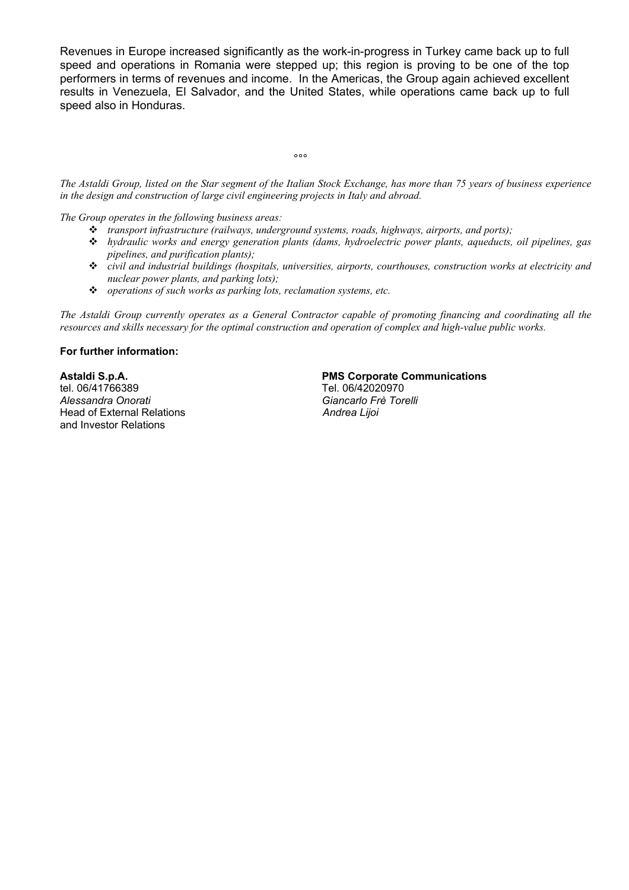Revenues in Europe increased significantly as the work-in-progress in Turkey came back up to full speed and operations in Romania were stepped up; this region is proving to be one of the top performers in terms of revenues and income. In the Americas, the Group again achieved excellent results in Venezuela, El Salvador, and the United States, while operations came back up to full speed also in Honduras.

*The Astaldi Group, listed on the Star segment of the Italian Stock Exchange, has more than 75 years of business experience in the design and construction of large civil engineering projects in Italy and abroad.* 

*The Group operates in the following business areas:* 

ли в община в община в община в община в община в община в община в община в община в община в община в община<br>В община в община в община в община в община в община в община в община в община в община в община в община в<br>

- *transport infrastructure (railways, underground systems, roads, highways, airports, and ports);*
- *hydraulic works and energy generation plants (dams, hydroelectric power plants, aqueducts, oil pipelines, gas pipelines, and purification plants);*
- *civil and industrial buildings (hospitals, universities, airports, courthouses, construction works at electricity and nuclear power plants, and parking lots);*
- *operations of such works as parking lots, reclamation systems, etc.*

*The Astaldi Group currently operates as a General Contractor capable of promoting financing and coordinating all the resources and skills necessary for the optimal construction and operation of complex and high-value public works.* 

#### **For further information:**

tel. 06/41766389 Tel. 06/42020970 *Alessandra Onorati Giancarlo Frè Torelli* Head of External Relations *Andrea Lijoi*  and Investor Relations

### **Astaldi S.p.A. PMS Corporate Communications**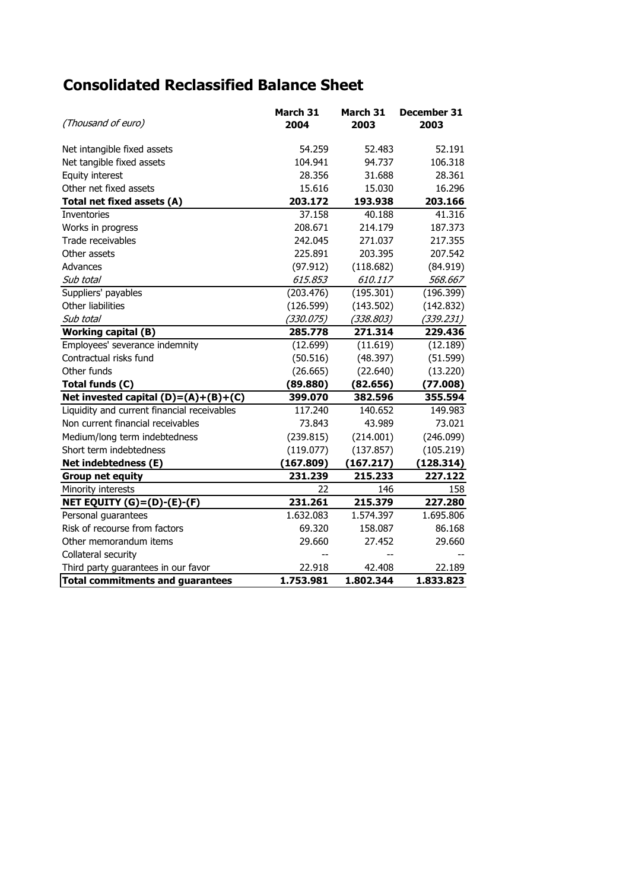# **Consolidated Reclassified Balance Sheet**

| (Thousand of euro)                          | March 31<br>2004 | March 31<br>2003 | December 31<br>2003 |
|---------------------------------------------|------------------|------------------|---------------------|
| Net intangible fixed assets                 | 54.259           | 52.483           | 52.191              |
| Net tangible fixed assets                   | 104.941          | 94.737           | 106.318             |
| Equity interest                             | 28.356           | 31.688           | 28.361              |
| Other net fixed assets                      | 15.616           | 15.030           | 16.296              |
| Total net fixed assets (A)                  | 203.172          | 193.938          | 203.166             |
| Inventories                                 | 37.158           | 40.188           | 41.316              |
| Works in progress                           | 208.671          | 214.179          | 187.373             |
| Trade receivables                           | 242.045          | 271.037          | 217.355             |
| Other assets                                | 225.891          | 203.395          | 207.542             |
| Advances                                    | (97.912)         | (118.682)        | (84.919)            |
| Sub total                                   | 615.853          | 610.117          | 568.667             |
| Suppliers' payables                         | (203.476)        | (195.301)        | (196.399)           |
| Other liabilities                           | (126.599)        | (143.502)        | (142.832)           |
| Sub total                                   | (330.075)        | (338.803)        | (339.231)           |
| <b>Working capital (B)</b>                  | 285.778          | 271.314          | 229.436             |
| Employees' severance indemnity              | (12.699)         | (11.619)         | (12.189)            |
| Contractual risks fund                      | (50.516)         | (48.397)         | (51.599)            |
| Other funds                                 | (26.665)         | (22.640)         | (13.220)            |
| Total funds (C)                             | (89.880)         | (82.656)         | (77.008)            |
| Net invested capital $(D)=(A)+(B)+(C)$      | 399.070          | 382.596          | 355.594             |
| Liquidity and current financial receivables | 117.240          | 140.652          | 149.983             |
| Non current financial receivables           | 73.843           | 43.989           | 73.021              |
| Medium/long term indebtedness               | (239.815)        | (214.001)        | (246.099)           |
| Short term indebtedness                     | (119.077)        | (137.857)        | (105.219)           |
| Net indebtedness (E)                        | (167.809)        | (167.217)        | (128.314)           |
| <b>Group net equity</b>                     | 231.239          | 215.233          | 227.122             |
| Minority interests                          | 22               | 146              | 158                 |
| NET EQUITY (G)=(D)-(E)-(F)                  | 231.261          | 215.379          | 227.280             |
| Personal guarantees                         | 1.632.083        | 1.574.397        | 1.695.806           |
| Risk of recourse from factors               | 69.320           | 158.087          | 86.168              |
| Other memorandum items                      | 29.660           | 27.452           | 29.660              |
| Collateral security                         | $-$              | --               |                     |
| Third party guarantees in our favor         | 22.918           | 42.408           | 22.189              |
| <b>Total commitments and guarantees</b>     | 1.753.981        | 1.802.344        | 1.833.823           |